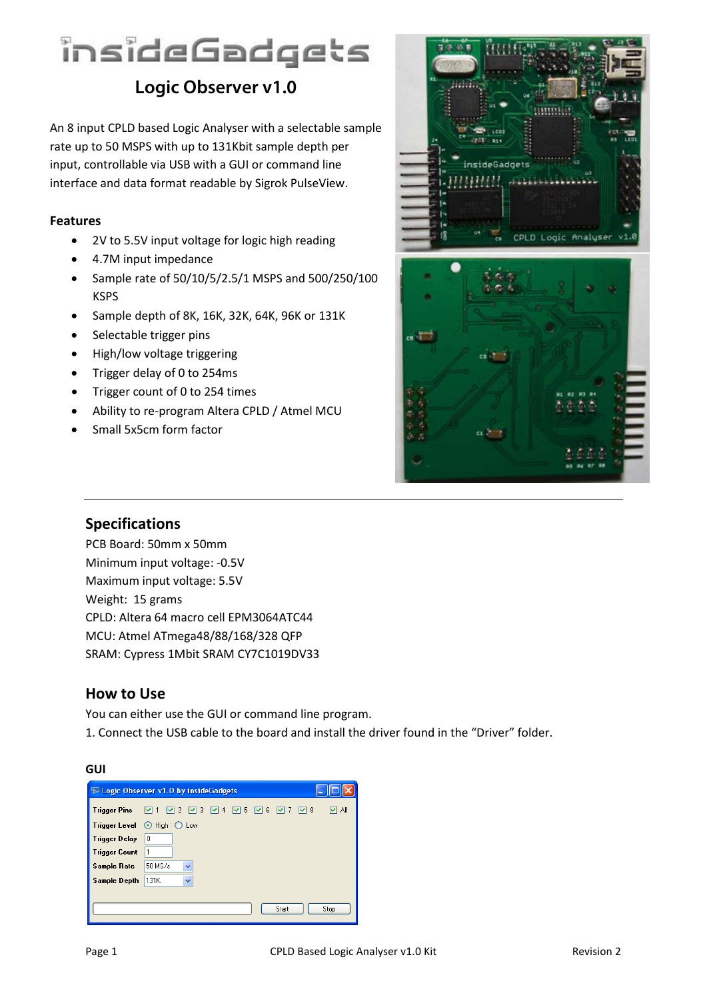# insideGadgets

# **Logic Observer v1.0**

An 8 input CPLD based Logic Analyser with a selectable sample rate up to 50 MSPS with up to 131Kbit sample depth per input, controllable via USB with a GUI or command line interface and data format readable by Sigrok PulseView.

## **Features**

- 2V to 5.5V input voltage for logic high reading
- 4.7M input impedance
- Sample rate of 50/10/5/2.5/1 MSPS and 500/250/100 KSPS
- Sample depth of 8K, 16K, 32K, 64K, 96K or 131K
- Selectable trigger pins
- High/low voltage triggering
- Trigger delay of 0 to 254ms
- Trigger count of 0 to 254 times
- Ability to re-program Altera CPLD / Atmel MCU
- Small 5x5cm form factor



## **Specifications**

PCB Board: 50mm x 50mm Minimum input voltage: -0.5V Maximum input voltage: 5.5V Weight: 15 grams CPLD: Altera 64 macro cell EPM3064ATC44 MCU: Atmel ATmega48/88/168/328 QFP SRAM: Cypress 1Mbit SRAM CY7C1019DV33

## **How to Use**

You can either use the GUI or command line program. 1. Connect the USB cable to the board and install the driver found in the "Driver" folder.

#### **GUI**

|      |                         |         |                                                       |       | ly ai                           |
|------|-------------------------|---------|-------------------------------------------------------|-------|---------------------------------|
|      |                         |         |                                                       |       |                                 |
| 0    |                         |         |                                                       |       |                                 |
| 1    |                         |         |                                                       |       |                                 |
|      | $\ddotmark$             |         |                                                       |       |                                 |
| 131K | $\ddotmark$             |         |                                                       |       |                                 |
|      |                         |         |                                                       |       |                                 |
|      |                         |         |                                                       | Start | Stop                            |
|      | $\odot$ High<br>50 MS/s | $O$ Low | $\triangleright$ Logic Observer v1.0 by insideGadgets |       | ☑ ↑ ☑ 2 ☑ 3 ☑ 4 ☑ 5 ☑ 6 ☑ 7 ☑ 8 |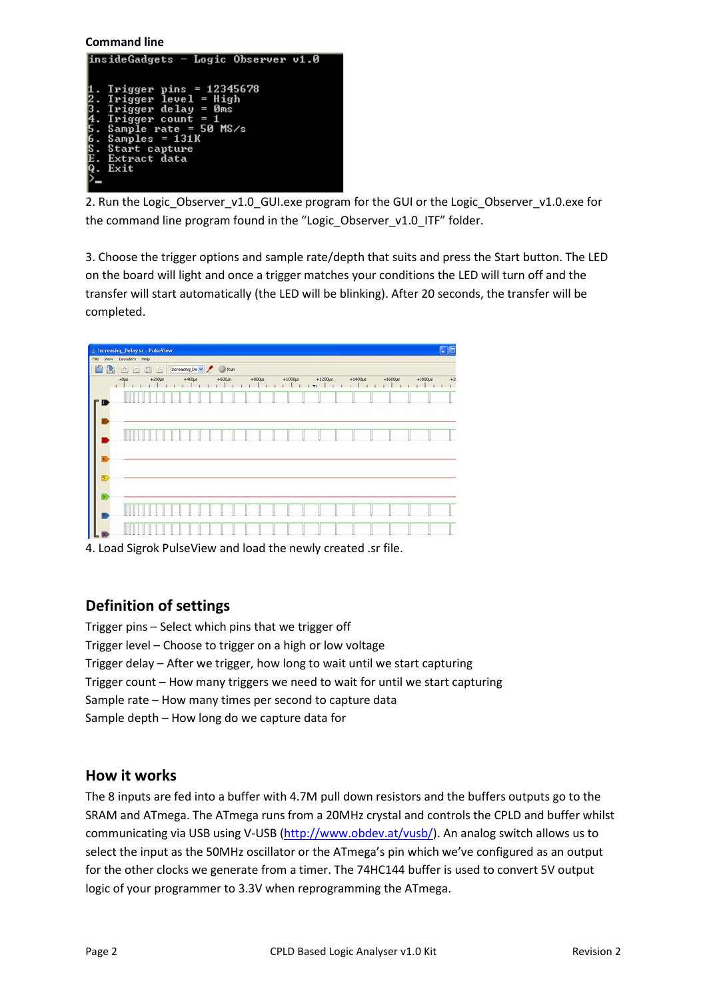#### **Command line**



2. Run the Logic Observer v1.0 GUI.exe program for the GUI or the Logic Observer v1.0.exe for the command line program found in the "Logic\_Observer\_v1.0\_ITF" folder.

3. Choose the trigger options and sample rate/depth that suits and press the Start button. The LED on the board will light and once a trigger matches your conditions the LED will turn off and the transfer will start automatically (the LED will be blinking). After 20 seconds, the transfer will be completed.

| 自<br>图                        | 0000      |             | Increasing De w / @ Run |  |             |  |  |        |  |  |             |  |  |              |  |  |          |  |               |              |              |       |
|-------------------------------|-----------|-------------|-------------------------|--|-------------|--|--|--------|--|--|-------------|--|--|--------------|--|--|----------|--|---------------|--------------|--------------|-------|
|                               | $+0\mu s$ | $+200\mu s$ |                         |  | $+400\mu s$ |  |  | $+600$ |  |  | $+800\mu s$ |  |  | $+1000\mu s$ |  |  | $+12005$ |  | $+1400 \mu s$ | $+1600\mu s$ | $+1800\mu s$ | $+20$ |
| <b>D</b>                      |           |             |                         |  |             |  |  |        |  |  |             |  |  |              |  |  |          |  |               |              |              |       |
|                               | III       |             |                         |  |             |  |  |        |  |  |             |  |  |              |  |  |          |  |               |              |              |       |
| $\overline{\mathbf{s}}$<br>k. | u.        |             |                         |  |             |  |  |        |  |  |             |  |  |              |  |  |          |  |               |              |              |       |

4. Load Sigrok PulseView and load the newly created .sr file.

## **Definition of settings**

Trigger pins – Select which pins that we trigger off Trigger level – Choose to trigger on a high or low voltage Trigger delay – After we trigger, how long to wait until we start capturing Trigger count – How many triggers we need to wait for until we start capturing Sample rate – How many times per second to capture data Sample depth – How long do we capture data for

## **How it works**

The 8 inputs are fed into a buffer with 4.7M pull down resistors and the buffers outputs go to the SRAM and ATmega. The ATmega runs from a 20MHz crystal and controls the CPLD and buffer whilst communicating via USB using V-USB [\(http://www.obdev.at/vusb/\)](http://www.obdev.at/vusb/). An analog switch allows us to select the input as the 50MHz oscillator or the ATmega's pin which we've configured as an output for the other clocks we generate from a timer. The 74HC144 buffer is used to convert 5V output logic of your programmer to 3.3V when reprogramming the ATmega.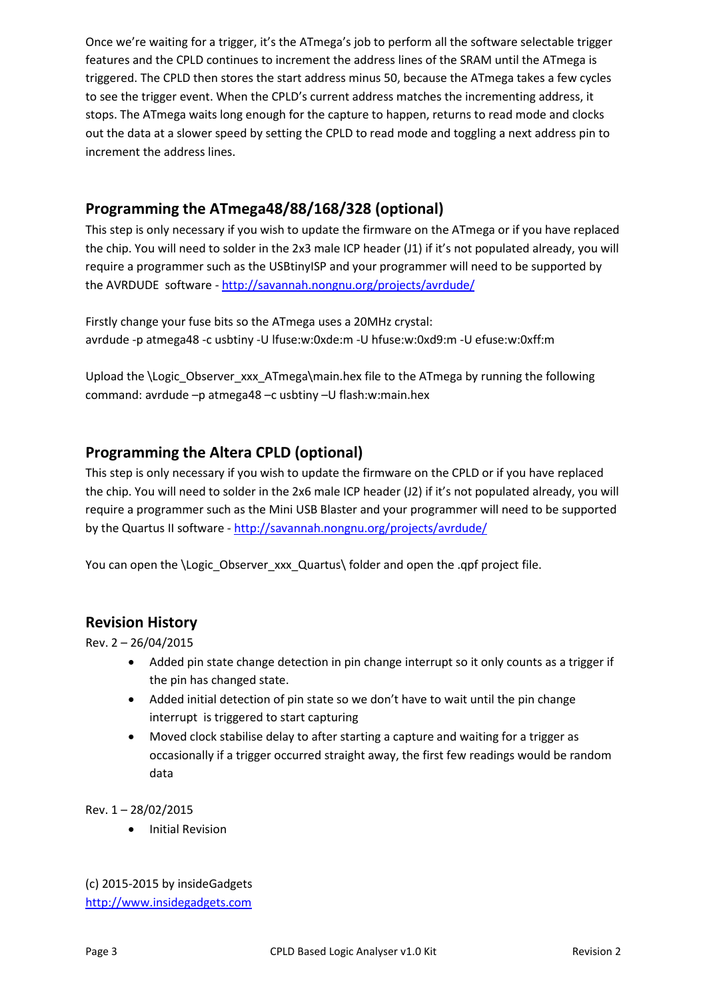Once we're waiting for a trigger, it's the ATmega's job to perform all the software selectable trigger features and the CPLD continues to increment the address lines of the SRAM until the ATmega is triggered. The CPLD then stores the start address minus 50, because the ATmega takes a few cycles to see the trigger event. When the CPLD's current address matches the incrementing address, it stops. The ATmega waits long enough for the capture to happen, returns to read mode and clocks out the data at a slower speed by setting the CPLD to read mode and toggling a next address pin to increment the address lines.

# **Programming the ATmega48/88/168/328 (optional)**

This step is only necessary if you wish to update the firmware on the ATmega or if you have replaced the chip. You will need to solder in the 2x3 male ICP header (J1) if it's not populated already, you will require a programmer such as the USBtinyISP and your programmer will need to be supported by the AVRDUDE software - <http://savannah.nongnu.org/projects/avrdude/>

Firstly change your fuse bits so the ATmega uses a 20MHz crystal: avrdude -p atmega48 -c usbtiny -U lfuse:w:0xde:m -U hfuse:w:0xd9:m -U efuse:w:0xff:m

Upload the \Logic\_Observer\_xxx\_ATmega\main.hex file to the ATmega by running the following command: avrdude –p atmega48 –c usbtiny –U flash:w:main.hex

# **Programming the Altera CPLD (optional)**

This step is only necessary if you wish to update the firmware on the CPLD or if you have replaced the chip. You will need to solder in the 2x6 male ICP header (J2) if it's not populated already, you will require a programmer such as the Mini USB Blaster and your programmer will need to be supported by the Quartus II software - <http://savannah.nongnu.org/projects/avrdude/>

You can open the \Logic\_Observer\_xxx\_Quartus\ folder and open the .qpf project file.

## **Revision History**

Rev. 2 – 26/04/2015

- Added pin state change detection in pin change interrupt so it only counts as a trigger if the pin has changed state.
- Added initial detection of pin state so we don't have to wait until the pin change interrupt is triggered to start capturing
- Moved clock stabilise delay to after starting a capture and waiting for a trigger as occasionally if a trigger occurred straight away, the first few readings would be random data

Rev. 1 – 28/02/2015

• Initial Revision

(c) 2015-2015 by insideGadgets [http://www.insidegadgets.com](http://www.insidegadgets.com/)